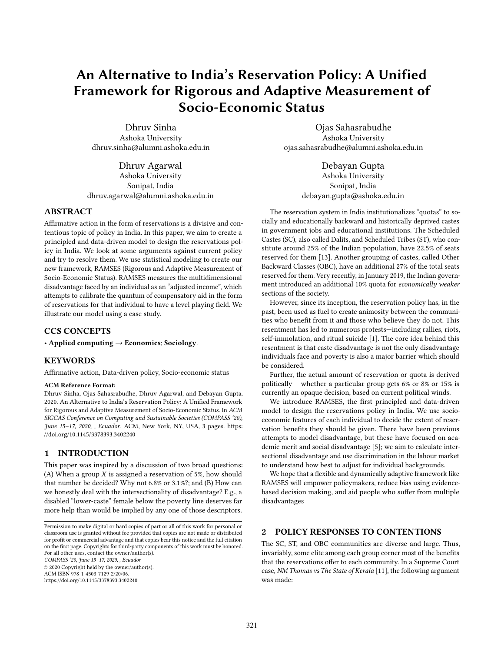# An Alternative to India's Reservation Policy: A Unified Framework for Rigorous and Adaptive Measurement of Socio-Economic Status

Dhruv Sinha Ashoka University dhruv.sinha@alumni.ashoka.edu.in

Dhruv Agarwal Ashoka University Sonipat, India dhruv.agarwal@alumni.ashoka.edu.in

## ABSTRACT

Affirmative action in the form of reservations is a divisive and contentious topic of policy in India. In this paper, we aim to create a principled and data-driven model to design the reservations policy in India. We look at some arguments against current policy and try to resolve them. We use statistical modeling to create our new framework, RAMSES (Rigorous and Adaptive Measurement of Socio-Economic Status). RAMSES measures the multidimensional disadvantage faced by an individual as an "adjusted income", which attempts to calibrate the quantum of compensatory aid in the form of reservations for that individual to have a level playing field. We illustrate our model using a case study.

# CCS CONCEPTS

• Applied computing → Economics; Sociology.

#### **KEYWORDS**

Affirmative action, Data-driven policy, Socio-economic status

#### ACM Reference Format:

Dhruv Sinha, Ojas Sahasrabudhe, Dhruv Agarwal, and Debayan Gupta. 2020. An Alternative to India's Reservation Policy: A Unified Framework for Rigorous and Adaptive Measurement of Socio-Economic Status. In ACM SIGCAS Conference on Computing and Sustainable Societies (COMPASS '20), June 15–17, 2020, , Ecuador. ACM, New York, NY, USA, [3](#page-2-0) pages. [https:](https://doi.org/10.1145/3378393.3402240) [//doi.org/10.1145/3378393.3402240](https://doi.org/10.1145/3378393.3402240)

## 1 INTRODUCTION

This paper was inspired by a discussion of two broad questions: (A) When a group  $X$  is assigned a reservation of 5%, how should that number be decided? Why not 6.8% or 3.1%?; and (B) How can we honestly deal with the intersectionality of disadvantage? E.g., a disabled "lower-caste" female below the poverty line deserves far more help than would be implied by any one of those descriptors.

COMPASS '20, June 15–17, 2020, , Ecuador

© 2020 Copyright held by the owner/author(s). ACM ISBN 978-1-4503-7129-2/20/06. <https://doi.org/10.1145/3378393.3402240>

Ojas Sahasrabudhe Ashoka University ojas.sahasrabudhe@alumni.ashoka.edu.in

> Debayan Gupta Ashoka University Sonipat, India debayan.gupta@ashoka.edu.in

The reservation system in India institutionalizes "quotas" to socially and educationally backward and historically deprived castes in government jobs and educational institutions. The Scheduled Castes (SC), also called Dalits, and Scheduled Tribes (ST), who constitute around 25% of the Indian population, have 22.5% of seats reserved for them [\[13\]](#page-2-1). Another grouping of castes, called Other Backward Classes (OBC), have an additional 27% of the total seats reserved for them. Very recently, in January 2019, the Indian government introduced an additional 10% quota for economically weaker sections of the society.

However, since its inception, the reservation policy has, in the past, been used as fuel to create animosity between the communities who benefit from it and those who believe they do not. This resentment has led to numerous protests—including rallies, riots, self-immolation, and ritual suicide [\[1\]](#page-2-2). The core idea behind this resentment is that caste disadvantage is not the only disadvantage individuals face and poverty is also a major barrier which should be considered.

Further, the actual amount of reservation or quota is derived politically – whether a particular group gets 6% or 8% or 15% is currently an opaque decision, based on current political winds.

We introduce RAMSES, the first principled and data-driven model to design the reservations policy in India. We use socioeconomic features of each individual to decide the extent of reservation benefits they should be given. There have been previous attempts to model disadvantage, but these have focused on academic merit and social disadvantage [\[5\]](#page-2-3); we aim to calculate intersectional disadvantage and use discrimination in the labour market to understand how best to adjust for individual backgrounds.

We hope that a flexible and dynamically adaptive framework like RAMSES will empower policymakers, reduce bias using evidencebased decision making, and aid people who suffer from multiple disadvantages

#### 2 POLICY RESPONSES TO CONTENTIONS

The SC, ST, and OBC communities are diverse and large. Thus, invariably, some elite among each group corner most of the benefits that the reservations offer to each community. In a Supreme Court case, NM Thomas vs The State of Kerala [\[11\]](#page-2-4), the following argument was made:

Permission to make digital or hard copies of part or all of this work for personal or classroom use is granted without fee provided that copies are not made or distributed for profit or commercial advantage and that copies bear this notice and the full citation on the first page. Copyrights for third-party components of this work must be honored. For all other uses, contact the owner/author(s).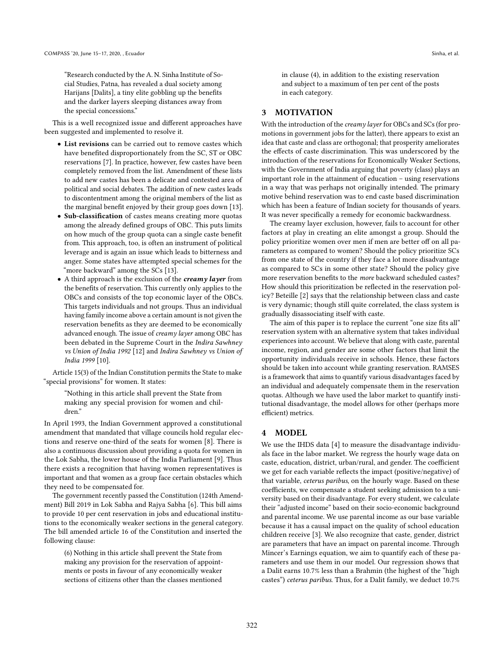"Research conducted by the A. N. Sinha Institute of Social Studies, Patna, has revealed a dual society among Harijans [Dalits], a tiny elite gobbling up the benefits and the darker layers sleeping distances away from the special concessions."

This is a well recognized issue and different approaches have been suggested and implemented to resolve it.

- List revisions can be carried out to remove castes which have benefited disproportionately from the SC, ST or OBC reservations [\[7\]](#page-2-5). In practice, however, few castes have been completely removed from the list. Amendment of these lists to add new castes has been a delicate and contested area of political and social debates. The addition of new castes leads to discontentment among the original members of the list as the marginal benefit enjoyed by their group goes down [\[13\]](#page-2-1).
- Sub-classification of castes means creating more quotas among the already defined groups of OBC. This puts limits on how much of the group quota can a single caste benefit from. This approach, too, is often an instrument of political leverage and is again an issue which leads to bitterness and anger. Some states have attempted special schemes for the "more backward" among the SCs [\[13\]](#page-2-1).
- A third approach is the exclusion of the *creamy layer* from the benefits of reservation. This currently only applies to the OBCs and consists of the top economic layer of the OBCs. This targets individuals and not groups. Thus an individual having family income above a certain amount is not given the reservation benefits as they are deemed to be economically advanced enough. The issue of creamy layer among OBC has been debated in the Supreme Court in the Indira Sawhney vs Union of India 1992 [\[12\]](#page-2-6) and Indira Sawhney vs Union of India 1999 [\[10\]](#page-2-7).

Article 15(3) of the Indian Constitution permits the State to make "special provisions" for women. It states:

"Nothing in this article shall prevent the State from making any special provision for women and children."

In April 1993, the Indian Government approved a constitutional amendment that mandated that village councils hold regular elections and reserve one-third of the seats for women [\[8\]](#page-2-8). There is also a continuous discussion about providing a quota for women in the Lok Sabha, the lower house of the India Parliament [\[9\]](#page-2-9). Thus there exists a recognition that having women representatives is important and that women as a group face certain obstacles which they need to be compensated for.

The government recently passed the Constitution (124th Amendment) Bill 2019 in Lok Sabha and Rajya Sabha [\[6\]](#page-2-10). This bill aims to provide 10 per cent reservation in jobs and educational institutions to the economically weaker sections in the general category. The bill amended article 16 of the Constitution and inserted the following clause:

(6) Nothing in this article shall prevent the State from making any provision for the reservation of appointments or posts in favour of any economically weaker sections of citizens other than the classes mentioned

in clause (4), in addition to the existing reservation and subject to a maximum of ten per cent of the posts in each category.

# 3 MOTIVATION

With the introduction of the *creamy layer* for OBCs and SCs (for promotions in government jobs for the latter), there appears to exist an idea that caste and class are orthogonal; that prosperity ameliorates the effects of caste discrimination. This was underscored by the introduction of the reservations for Economically Weaker Sections, with the Government of India arguing that poverty (class) plays an important role in the attainment of education – using reservations in a way that was perhaps not originally intended. The primary motive behind reservation was to end caste based discrimination which has been a feature of Indian society for thousands of years. It was never specifically a remedy for economic backwardness.

The creamy layer exclusion, however, fails to account for other factors at play in creating an elite amongst a group. Should the policy prioritize women over men if men are better off on all parameters as compared to women? Should the policy prioritize SCs from one state of the country if they face a lot more disadvantage as compared to SCs in some other state? Should the policy give more reservation benefits to the more backward scheduled castes? How should this prioritization be reflected in the reservation policy? Beteille [\[2\]](#page-2-11) says that the relationship between class and caste is very dynamic; though still quite correlated, the class system is gradually disassociating itself with caste.

The aim of this paper is to replace the current "one size fits all" reservation system with an alternative system that takes individual experiences into account. We believe that along with caste, parental income, region, and gender are some other factors that limit the opportunity individuals receive in schools. Hence, these factors should be taken into account while granting reservation. RAMSES is a framework that aims to quantify various disadvantages faced by an individual and adequately compensate them in the reservation quotas. Although we have used the labor market to quantify institutional disadvantage, the model allows for other (perhaps more efficient) metrics.

# 4 MODEL

We use the IHDS data [\[4\]](#page-2-12) to measure the disadvantage individuals face in the labor market. We regress the hourly wage data on caste, education, district, urban/rural, and gender. The coefficient we get for each variable reflects the impact (positive/negative) of that variable, ceterus paribus, on the hourly wage. Based on these coefficients, we compensate a student seeking admission to a university based on their disadvantage. For every student, we calculate their "adjusted income" based on their socio-economic background and parental income. We use parental income as our base variable because it has a causal impact on the quality of school education children receive [\[3\]](#page-2-13). We also recognize that caste, gender, district are parameters that have an impact on parental income. Through Mincer's Earnings equation, we aim to quantify each of these parameters and use them in our model. Our regression shows that a Dalit earns 10.7% less than a Brahmin (the highest of the "high castes") ceterus paribus. Thus, for a Dalit family, we deduct 10.7%